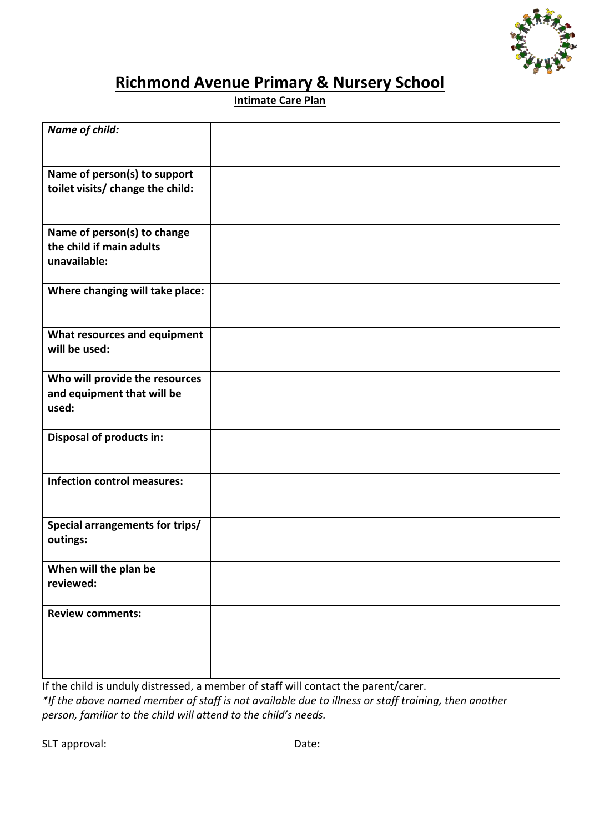

## **Richmond Avenue Primary & Nursery School**

**Intimate Care Plan** 

| <b>Name of child:</b>                                                   |  |
|-------------------------------------------------------------------------|--|
| Name of person(s) to support<br>toilet visits/ change the child:        |  |
| Name of person(s) to change<br>the child if main adults<br>unavailable: |  |
| Where changing will take place:                                         |  |
| What resources and equipment<br>will be used:                           |  |
| Who will provide the resources<br>and equipment that will be<br>used:   |  |
| <b>Disposal of products in:</b>                                         |  |
| <b>Infection control measures:</b>                                      |  |
| Special arrangements for trips/<br>outings:                             |  |
| When will the plan be<br>reviewed:                                      |  |
| <b>Review comments:</b>                                                 |  |

If the child is unduly distressed, a member of staff will contact the parent/carer.

*\*If the above named member of staff is not available due to illness or staff training, then another person, familiar to the child will attend to the child's needs.* 

SLT approval: Date: